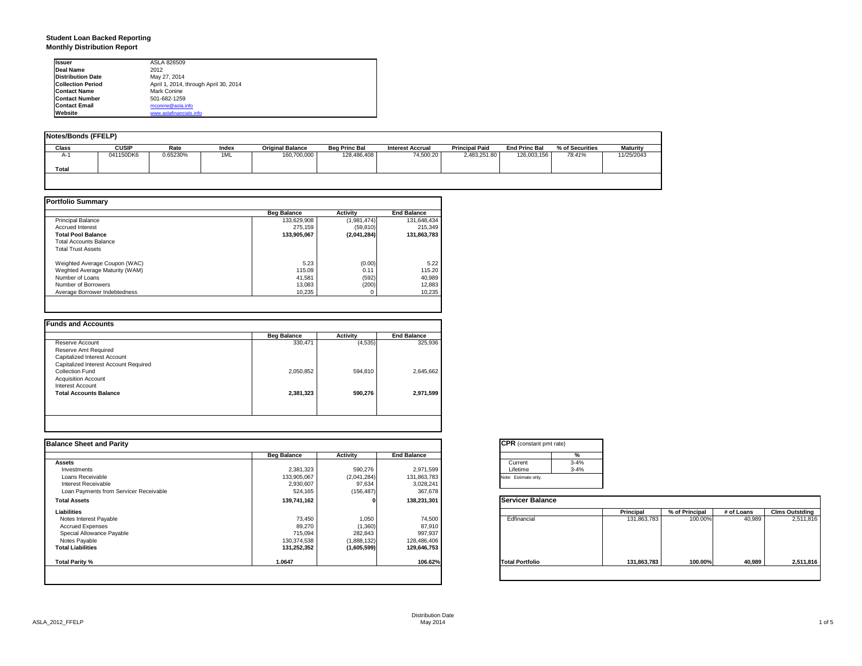### **Student Loan Backed Reporting Monthly Distribution Report**

| <b>Issuer</b>            | ASLA 826509                           |
|--------------------------|---------------------------------------|
| Deal Name                | 2012                                  |
| <b>Distribution Date</b> | May 27, 2014                          |
| <b>Collection Period</b> | April 1, 2014, through April 30, 2014 |
| <b>Contact Name</b>      | Mark Conine                           |
| <b>Contact Number</b>    | 501-682-1259                          |
| <b>Contact Email</b>     | mconine@asla.info                     |
| Website                  | www.aslafinancials.info               |

| <b>Notes/Bonds (FFELP)</b> |              |          |       |                         |                      |                         |                       |                      |                 |                 |
|----------------------------|--------------|----------|-------|-------------------------|----------------------|-------------------------|-----------------------|----------------------|-----------------|-----------------|
| <b>Class</b>               | <b>CUSIP</b> | Rate     | Index | <b>Original Balance</b> | <b>Beg Princ Bal</b> | <b>Interest Accrual</b> | <b>Principal Paid</b> | <b>End Princ Bal</b> | % of Securities | <b>Maturity</b> |
| $A-$                       | 041150DK6    | 0.65230% | 1ML   | 160,700,000             | 128,486,408          | 74,500.20               | 2,483,251.80          | 126,003,156          | 78.41%          | 11/25/2043      |
| Total                      |              |          |       |                         |                      |                         |                       |                      |                 |                 |
|                            |              |          |       |                         |                      |                         |                       |                      |                 |                 |

|                                | <b>Beg Balance</b> | <b>Activity</b> | <b>End Balance</b> |
|--------------------------------|--------------------|-----------------|--------------------|
| <b>Principal Balance</b>       | 133,629,908        | (1,981,474)     | 131,648,434        |
| <b>Accrued Interest</b>        | 275.159            | (59, 810)       | 215,349            |
| <b>Total Pool Balance</b>      | 133.905.067        | (2,041,284)     | 131.863.783        |
| <b>Total Accounts Balance</b>  |                    |                 |                    |
| <b>Total Trust Assets</b>      |                    |                 |                    |
| Weighted Average Coupon (WAC)  | 5.23               | (0.00)          | 5.22               |
| Weghted Average Maturity (WAM) | 115.09             | 0.11            | 115.20             |
| Number of Loans                | 41.581             | (592)           | 40,989             |
| Number of Borrowers            | 13.083             | (200)           | 12,883             |
| Average Borrower Indebtedness  | 10.235             |                 | 10,235             |

|                                       | <b>Beg Balance</b> | Activity | <b>End Balance</b> |
|---------------------------------------|--------------------|----------|--------------------|
| Reserve Account                       | 330,471            | (4, 535) | 325,936            |
| Reserve Amt Required                  |                    |          |                    |
| Capitalized Interest Account          |                    |          |                    |
| Capitalized Interest Account Required |                    |          |                    |
| Collection Fund                       | 2,050,852          | 594.810  | 2,645,662          |
| <b>Acquisition Account</b>            |                    |          |                    |
| Interest Account                      |                    |          |                    |
| <b>Total Accounts Balance</b>         | 2,381,323          | 590,276  | 2,971,599          |
|                                       |                    |          |                    |
|                                       |                    |          |                    |
|                                       |                    |          |                    |

| <b>Balance Sheet and Parity</b>        |                    |             |                    | <b>CPR</b> (constant pmt rate)                                          |
|----------------------------------------|--------------------|-------------|--------------------|-------------------------------------------------------------------------|
|                                        | <b>Beg Balance</b> | Activity    | <b>End Balance</b> | %                                                                       |
| <b>Assets</b>                          |                    |             |                    | $3 - 4%$<br>Current                                                     |
| Investments                            | 2,381,323          | 590,276     | 2,971,599          | $3 - 4%$<br>Lifetime                                                    |
| Loans Receivable                       | 133,905,067        | (2,041,284) | 131,863,783        | Note: Estimate only.                                                    |
| Interest Receivable                    | 2,930,607          | 97,634      | 3,028,241          |                                                                         |
| Loan Payments from Servicer Receivable | 524,165            | (156, 487)  | 367,678            |                                                                         |
| <b>Total Assets</b>                    | 139,741,162        |             | 138,231,301        | <b>Servicer Balance</b>                                                 |
| Liabilities                            |                    |             |                    | Principal<br>% of Principal<br># of Loans<br><b>Clms Outstding</b>      |
| Notes Interest Payable                 | 73,450             | 1,050       | 74,500             | Edfinancial<br>131,863,783<br>100.00%<br>40,989<br>2,511,816            |
| <b>Accrued Expenses</b>                | 89,270             | (1,360)     | 87,910             |                                                                         |
| Special Allowance Payable              | 715,094            | 282,843     | 997,937            |                                                                         |
| Notes Payable                          | 130,374,538        | (1,888,132) | 128,486,406        |                                                                         |
| <b>Total Liabilities</b>               | 131,252,352        | (1,605,599) | 129,646,753        |                                                                         |
| Total Parity %                         | 1.0647             |             | 106.62%            | <b>Total Portfolio</b><br>131,863,783<br>100.00%<br>40,989<br>2,511,816 |
|                                        |                    |             |                    |                                                                         |
|                                        |                    |             |                    |                                                                         |

| <b>CPR</b> (constant pmt rate) |          |
|--------------------------------|----------|
|                                | %        |
| Current                        | $3 - 4%$ |
| Lifetime                       | $3 - 4%$ |
| Note: Estimate only.           |          |

|                        | Principal   | % of Principal | # of Loans | <b>Clms Outstding</b> |  |
|------------------------|-------------|----------------|------------|-----------------------|--|
| Edfinancial            | 131,863,783 | 100.00%        | 40,989     | 2,511,816             |  |
| <b>Total Portfolio</b> | 131,863,783 | 100.00%        | 40,989     | 2,511,816             |  |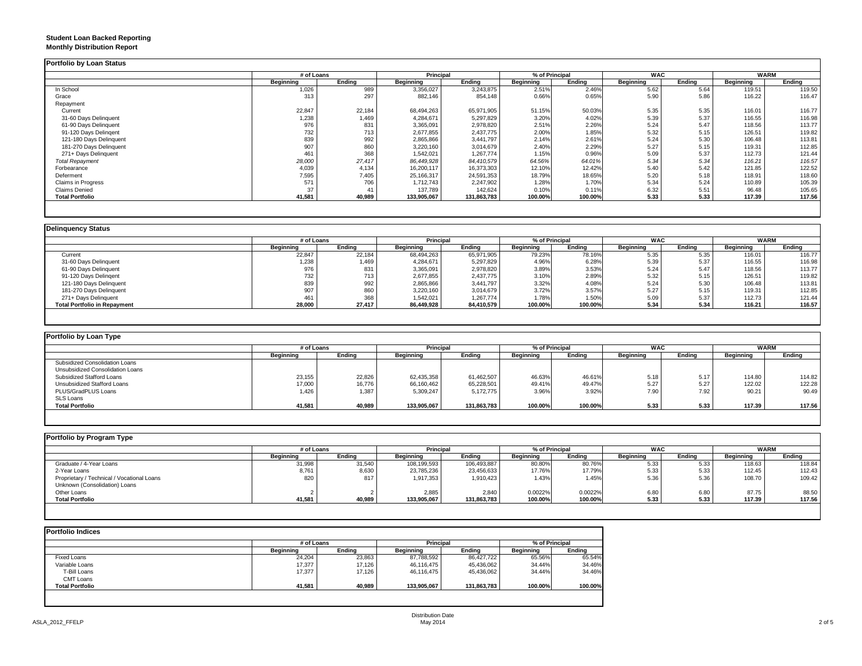### **Student Loan Backed Reporting Monthly Distribution Report**

|                         | # of Loans |        | Principal   |             | % of Principal |         | <b>WAC</b> |        | <b>WARM</b> |        |
|-------------------------|------------|--------|-------------|-------------|----------------|---------|------------|--------|-------------|--------|
|                         | Beginning  | Ending | Beginning   | Ending      | Beginning      | Ending  | Beginning  | Ending | Beginning   | Ending |
| In School               | 1,026      | 989    | 3,356,027   | 3,243,875   | 2.51%          | 2.46%   | 5.62       | 5.64   | 119.51      | 119.50 |
| Grace                   | 313        | 297    | 882,146     | 854,148     | 0.66%          | 0.65%   | 5.90       | 5.86   | 116.22      | 116.47 |
| Repayment               |            |        |             |             |                |         |            |        |             |        |
| Current                 | 22,847     | 22,184 | 68,494,263  | 65,971,905  | 51.15%         | 50.03%  | 5.35       | 5.35   | 116.01      | 116.77 |
| 31-60 Days Delinquent   | 1,238      | 1,469  | 4,284,671   | 5,297,829   | 3.20%          | 4.02%   | 5.39       | 5.37   | 116.55      | 116.98 |
| 61-90 Days Delinquent   | 976        | 831    | 3,365,091   | 2,978,820   | 2.51%          | 2.26%   | 5.24       | 5.47   | 118.56      | 113.77 |
| 91-120 Days Delingent   | 732        | 713    | 2,677,855   | 2,437,775   | 2.00%          | 1.85%   | 5.32       | 5.15   | 126.51      | 119.82 |
| 121-180 Days Delinquent | 839        | 992    | 2,865,866   | 3,441,797   | 2.14%          | 2.61%   | 5.24       | 5.30   | 106.48      | 113.81 |
| 181-270 Days Delinquent | 907        | 860    | 3,220,160   | 3,014,679   | 2.40%          | 2.29%   | 5.27       | 5.15   | 119.31      | 112.85 |
| 271+ Days Delinquent    | 461        | 368    | 1,542,021   | 1,267,774   | 1.15%          | 0.96%   | 5.09       | 5.37   | 112.73      | 121.44 |
| <b>Total Repayment</b>  | 28,000     | 27,417 | 86,449,928  | 84,410,579  | 64.56%         | 64.01%  | 5.34       | 5.34   | 116.21      | 116.57 |
| Forbearance             | 4,039      | 4,134  | 16,200,117  | 16,373,303  | 12.10%         | 12.42%  | 5.40       | 5.42   | 121.85      | 122.52 |
| Deferment               | 7,595      | 7,405  | 25,166,317  | 24,591,353  | 18.79%         | 18.65%  | 5.20       | 5.18   | 118.91      | 118.60 |
| Claims in Progress      | 571        | 706    | 1,712,743   | 2,247,902   | 1.28%          | 1.70%   | 5.34       | 5.24   | 110.89      | 105.39 |
| <b>Claims Denied</b>    | 37         | 41     | 137,789     | 142,624     | 0.10%          | 0.11%   | 6.32       | 5.51   | 96.48       | 105.65 |
| <b>Total Portfolio</b>  | 41,581     | 40,989 | 133,905,067 | 131,863,783 | 100.00%        | 100.00% | 5.33       | 5.33   | 117.39      | 117.56 |

|                                     | # of Loans |        | <b>Principal</b> |            | % of Principal |         | <b>WAC</b>       |        | <b>WARM</b> |        |
|-------------------------------------|------------|--------|------------------|------------|----------------|---------|------------------|--------|-------------|--------|
|                                     | Beainnina  | Endina | <b>Beainning</b> | Ending     | Beginning      | Endina  | <b>Beginning</b> | Endina | Beginning   | Ending |
| Current                             | 22,847     | 22,184 | 68,494,263       | 65,971,905 | 79.23%         | 78.16%  | 5.35             | 5.35   | 116.01      | 116.77 |
| 31-60 Days Delinquent               | 1,238      | 1,469  | 4,284,671        | 5,297,829  | 4.96%          | 6.28%   | 5.39             | 5.37   | 116.55      | 116.98 |
| 61-90 Days Delinquent               | 976        | 831    | 3,365,091        | 2,978,820  | 3.89%          | 3.53%   | 5.24             | 5.47   | 118.56      | 113.77 |
| 91-120 Days Delingent               | 732        |        | 2,677,855        | 2,437,775  | 3.10%          | 2.89%   | 5.32             | 5.15   | 126.51      | 119.82 |
| 121-180 Days Delinquent             | 839        | 992    | 2,865,866        | 3,441,797  | 3.32%          | 4.08%   | 5.24             | 5.30   | 106.48      | 113.81 |
| 181-270 Days Delinquent             | 907        | 860    | 3,220,160        | 3,014,679  | 3.72%          | 3.57%   | 5.27             | 5.15   | 119.31      | 112.85 |
| 271+ Days Delinguent                | 461        | 368    | 1,542,021        | 1,267,774  | 1.78%          | 1.50%   | 5.09             | 5.37   | 112.73      | 121.44 |
| <b>Total Portfolio in Repayment</b> | 28,000     | 27,417 | 86,449,928       | 84,410,579 | 100.00%        | 100.00% | 5.34             | 5.34   | 116.21      | 116.57 |

| Portfolio by Loan Type           |                  |        |                  |             |                  |         |                  |        |             |        |
|----------------------------------|------------------|--------|------------------|-------------|------------------|---------|------------------|--------|-------------|--------|
|                                  | # of Loans       |        | <b>Principal</b> |             | % of Principal   |         | <b>WAC</b>       |        | <b>WARM</b> |        |
|                                  | <b>Beginning</b> | Ending | Beginning        | Endina      | <b>Beginning</b> | Ending  | <b>Beginning</b> | Ending | Beginning   | Ending |
| Subsidized Consolidation Loans   |                  |        |                  |             |                  |         |                  |        |             |        |
| Unsubsidized Consolidation Loans |                  |        |                  |             |                  |         |                  |        |             |        |
| Subsidized Stafford Loans        | 23,155           | 22,826 | 62.435.358       | 61.462.507  | 46.63%           | 46.61%  | 5.18             | 5.17   | 114.80      | 114.82 |
| Unsubsidized Stafford Loans      | 17,000           | 16,776 | 66,160,462       | 65,228,501  | 49.41%           | 49.47%  | 5.27             | 5.27   | 122.02      | 122.28 |
| PLUS/GradPLUS Loans              | 1.426            | 1,387  | 5,309,247        | 5,172,775   | 3.96%            | 3.92%   | 7.90             | 7.92   | 90.21       | 90.49  |
| <b>SLS Loans</b>                 |                  |        |                  |             |                  |         |                  |        |             |        |
| <b>Total Portfolio</b>           | 41,581           | 40,989 | 133.905.067      | 131,863,783 | 100.00%          | 100.00% | 5.33             | 5.33   | 117.39      | 117.56 |

| Portfolio by Program Type                  |            |        |                  |             |                  |         |                  |        |             |        |
|--------------------------------------------|------------|--------|------------------|-------------|------------------|---------|------------------|--------|-------------|--------|
|                                            | # of Loans |        | <b>Principal</b> |             | % of Principal   |         | <b>WAC</b>       |        | <b>WARM</b> |        |
|                                            | Beginning  | Endina | <b>Beginning</b> | Endina      | <b>Beginning</b> | Endina  | <b>Beginning</b> | Ending | Beginning   | Ending |
| Graduate / 4-Year Loans                    | 31,998     | 31,540 | 108,199,593      | 106,493,887 | 80.80%           | 80.76%  | 5.33             | 5.33   | 118.63      | 118.84 |
| 2-Year Loans                               | 8,761      | 8,630  | 23,785,236       | 23,456,633  | 17.76%           | 17.79%  | 5.33             | 5.33   | 112.45      | 112.43 |
| Proprietary / Technical / Vocational Loans | 820        | 817    | 1,917,353        | 1,910,423   | 1.43%            | 1.45%   | 5.36             | 5.36   | 108.70      | 109.42 |
| Unknown (Consolidation) Loans              |            |        |                  |             |                  |         |                  |        |             |        |
| Other Loans                                |            |        | 2,885            | 2.840       | 0.0022%          | 0.0022% | 6.80             | 6.8C   | 87.75       | 88.50  |
| <b>Total Portfolio</b>                     | 41,581     | 40,989 | 133,905,067      | 131,863,783 | 100.00%          | 100.00% | 5.33             | 5.33   | 117.39      | 117.56 |
|                                            |            |        |                  |             |                  |         |                  |        |             |        |

| <b>Portfolio Indices</b> |            |        |                  |             |                |         |  |
|--------------------------|------------|--------|------------------|-------------|----------------|---------|--|
|                          | # of Loans |        | <b>Principal</b> |             | % of Principal |         |  |
|                          | Beginning  | Endina | Beginning        | Endina      | Beginning      | Endina  |  |
| Fixed Loans              | 24,204     | 23,863 | 87,788,592       | 86,427,722  | 65.56%         | 65.54%  |  |
| Variable Loans           | 17,377     | 17,126 | 46,116,475       | 45,436,062  | 34.44%         | 34.46%  |  |
| T-Bill Loans             | 17,377     | 17.126 | 46,116,475       | 45,436,062  | 34.44%         | 34.46%  |  |
| <b>CMT Loans</b>         |            |        |                  |             |                |         |  |
| <b>Total Portfolio</b>   | 41.581     | 40,989 | 133,905,067      | 131,863,783 | 100.00%        | 100.00% |  |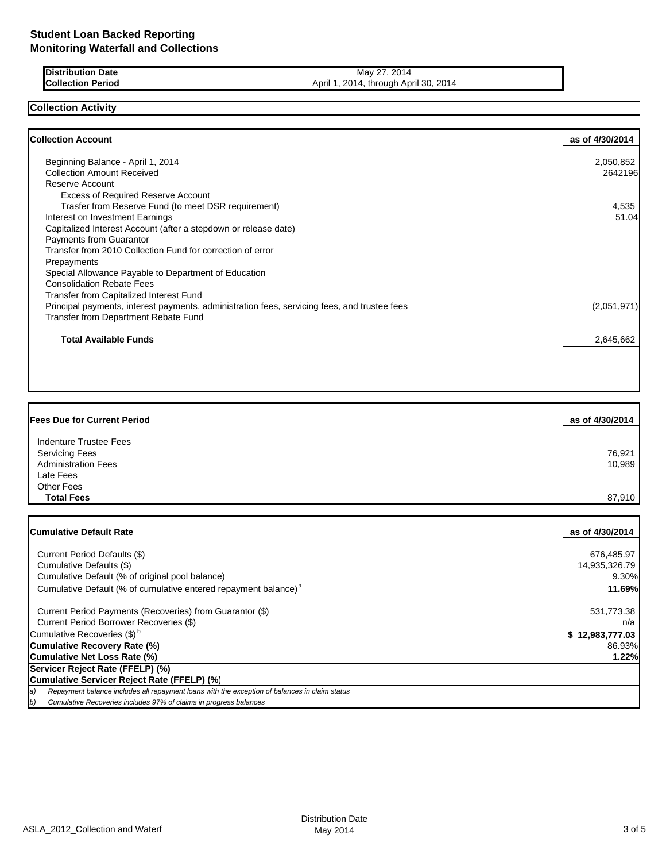| <b>Distribution Date</b> | 2014<br>$\sim$<br>May                                |
|--------------------------|------------------------------------------------------|
| <b>Collection Period</b> | 2014<br>2014<br>. April 30.<br>April 1<br>4. through |

## **Collection Activity**

| <b>Collection Account</b>                                                                    | as of 4/30/2014 |
|----------------------------------------------------------------------------------------------|-----------------|
| Beginning Balance - April 1, 2014                                                            | 2,050,852       |
| <b>Collection Amount Received</b>                                                            | 2642196         |
| Reserve Account                                                                              |                 |
| <b>Excess of Required Reserve Account</b>                                                    |                 |
| Trasfer from Reserve Fund (to meet DSR requirement)                                          | 4,535           |
| Interest on Investment Earnings                                                              | 51.04           |
| Capitalized Interest Account (after a stepdown or release date)                              |                 |
| Payments from Guarantor                                                                      |                 |
| Transfer from 2010 Collection Fund for correction of error                                   |                 |
| Prepayments                                                                                  |                 |
| Special Allowance Payable to Department of Education                                         |                 |
| <b>Consolidation Rebate Fees</b>                                                             |                 |
| Transfer from Capitalized Interest Fund                                                      |                 |
| Principal payments, interest payments, administration fees, servicing fees, and trustee fees | (2,051,971)     |
| Transfer from Department Rebate Fund                                                         |                 |
| <b>Total Available Funds</b>                                                                 | 2,645,662       |

| <b>Fees Due for Current Period</b> | as of 4/30/2014 |
|------------------------------------|-----------------|
| Indenture Trustee Fees             |                 |
| Servicing Fees                     | 76,921          |
| <b>Administration Fees</b>         | 10,989          |
| Late Fees                          |                 |
| Other Fees                         |                 |
| <b>Total Fees</b>                  | 87.910          |

| <b>Cumulative Default Rate</b>                                                                      | as of 4/30/2014 |
|-----------------------------------------------------------------------------------------------------|-----------------|
| Current Period Defaults (\$)                                                                        | 676,485.97      |
| Cumulative Defaults (\$)                                                                            | 14,935,326.79   |
| Cumulative Default (% of original pool balance)                                                     | $9.30\%$        |
| Cumulative Default (% of cumulative entered repayment balance) <sup>a</sup>                         | <b>11.69%</b>   |
| Current Period Payments (Recoveries) from Guarantor (\$)                                            | 531,773.38      |
| Current Period Borrower Recoveries (\$)                                                             | n/a             |
| Cumulative Recoveries (\$) <sup>b</sup>                                                             | \$12,983,777.03 |
| <b>Cumulative Recovery Rate (%)</b>                                                                 | 86.93%          |
| Cumulative Net Loss Rate (%)                                                                        | 1.22%           |
| Servicer Reject Rate (FFELP) (%)                                                                    |                 |
| Cumulative Servicer Reject Rate (FFELP) (%)                                                         |                 |
| Repayment balance includes all repayment loans with the exception of balances in claim status<br>a) |                 |
| b)<br>Cumulative Recoveries includes 97% of claims in progress balances                             |                 |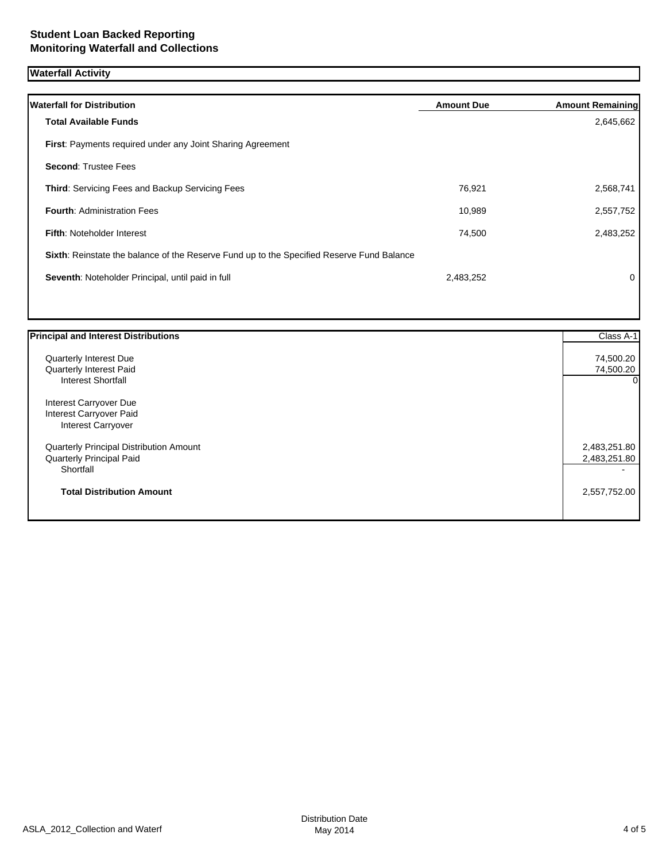# **Waterfall Activity**

| <b>Waterfall for Distribution</b>                                                         | <b>Amount Due</b> | <b>Amount Remaining</b> |
|-------------------------------------------------------------------------------------------|-------------------|-------------------------|
| <b>Total Available Funds</b>                                                              |                   | 2,645,662               |
| <b>First: Payments required under any Joint Sharing Agreement</b>                         |                   |                         |
| <b>Second: Trustee Fees</b>                                                               |                   |                         |
| <b>Third: Servicing Fees and Backup Servicing Fees</b>                                    | 76,921            | 2,568,741               |
| <b>Fourth: Administration Fees</b>                                                        | 10,989            | 2,557,752               |
| <b>Fifth: Noteholder Interest</b>                                                         | 74,500            | 2,483,252               |
| Sixth: Reinstate the balance of the Reserve Fund up to the Specified Reserve Fund Balance |                   |                         |
| Seventh: Noteholder Principal, until paid in full                                         | 2,483,252         | 0                       |
|                                                                                           |                   |                         |

| <b>Principal and Interest Distributions</b> | Class A-1    |
|---------------------------------------------|--------------|
| Quarterly Interest Due                      | 74,500.20    |
| Quarterly Interest Paid                     | 74,500.20    |
| <b>Interest Shortfall</b>                   | $\Omega$     |
| Interest Carryover Due                      |              |
| Interest Carryover Paid                     |              |
| <b>Interest Carryover</b>                   |              |
| Quarterly Principal Distribution Amount     | 2,483,251.80 |
| <b>Quarterly Principal Paid</b>             | 2,483,251.80 |
| Shortfall                                   |              |
| <b>Total Distribution Amount</b>            | 2,557,752.00 |
|                                             |              |